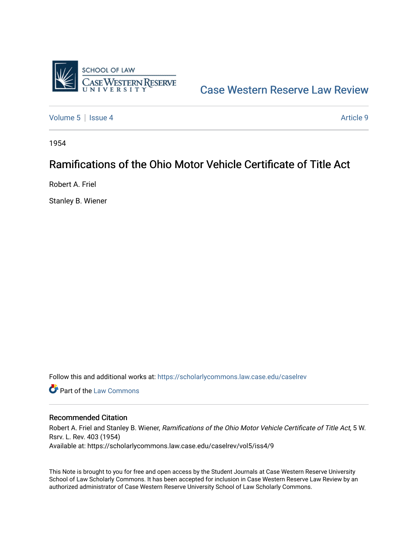

[Case Western Reserve Law Review](https://scholarlycommons.law.case.edu/caselrev) 

[Volume 5](https://scholarlycommons.law.case.edu/caselrev/vol5) | [Issue 4](https://scholarlycommons.law.case.edu/caselrev/vol5/iss4) Article 9

1954

# Ramifications of the Ohio Motor Vehicle Certificate of Title Act

Robert A. Friel

Stanley B. Wiener

Follow this and additional works at: [https://scholarlycommons.law.case.edu/caselrev](https://scholarlycommons.law.case.edu/caselrev?utm_source=scholarlycommons.law.case.edu%2Fcaselrev%2Fvol5%2Fiss4%2F9&utm_medium=PDF&utm_campaign=PDFCoverPages)

**C** Part of the [Law Commons](http://network.bepress.com/hgg/discipline/578?utm_source=scholarlycommons.law.case.edu%2Fcaselrev%2Fvol5%2Fiss4%2F9&utm_medium=PDF&utm_campaign=PDFCoverPages)

## Recommended Citation

Robert A. Friel and Stanley B. Wiener, Ramifications of the Ohio Motor Vehicle Certificate of Title Act, 5 W. Rsrv. L. Rev. 403 (1954) Available at: https://scholarlycommons.law.case.edu/caselrev/vol5/iss4/9

This Note is brought to you for free and open access by the Student Journals at Case Western Reserve University School of Law Scholarly Commons. It has been accepted for inclusion in Case Western Reserve Law Review by an authorized administrator of Case Western Reserve University School of Law Scholarly Commons.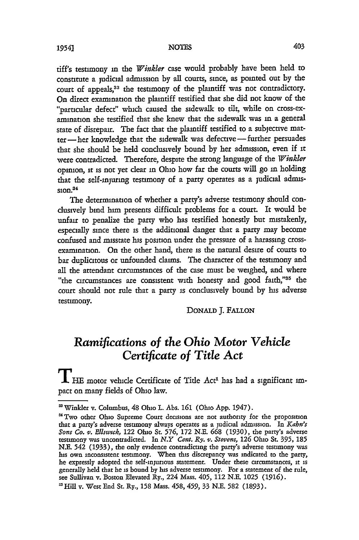tiff's testimony in the *Winkler* case would probably have been held to constitute a judicial adrmssion by all courts, since, as pointed out by the court of appeals,<sup>33</sup> the testimony of the plaintiff was not contradictory. On direct examination the plaintiff testified that she did not know of the "particular defect" which caused the sidewalk to tilt, while on cross-examimation she testified that she knew that the sidewalk was in a general state of disrepair. The fact that the plaintiff testified to a subjective matter- her knowledge that the sidewalk was defective-further persuades that she should be held conclusively bound by her admission, even if it were contradicted. Therefore, despite the strong language of the *Winkler* opinion, it is not yet dear in Ohio how far the courts will go in holding that the self-injuring testimony of a party operates as a judicial admis $ston.<sup>34</sup>$ 

The determination of whether a party's adverse testimony should condusively bind him presents difficult problems for a court. It would be unfair to penalize the party who has testified honestly but mistakenly, especially since there is the additional danger that a party may become confused and misstate his position under the pressure of a harassing crossexamination. On the other hand, there is the natural desire of courts to bar duplicitous or unfounded claims. The character of the testimony and all the attendant circumstances of the case must be weighed, and where "the circumstances are consistent with honesty and good faith,"35 the court should not rule that a party is conclusively bound by his adverse testimony.

DONALD J. FALLON

## *Ramifications of the Ohio Motor Vehicle Certificate of Title Act*

If HE motor vehicle Certificate of Title Act<sup>1</sup> has had a significant impact on many fields of Ohio law.

**<sup>&#</sup>x27;** Winkler v. Columbus, 48 Ohio L. Abs. **161** (Ohio App. 1947).

<sup>&#</sup>x27; **Two** other Ohio Supreme Court decisions are not authority for the proposition that a party's adverse testimony always operates as a judicial admission. In *Kahn's Sons Co. v. Ellswtck,* 122 Ohio St **576,** 172 N.E. **668** (1930), the party's adverse testimony was uncontradicted. In *N.Y Cent. Ry. v. Stevens,* **126** Ohio St. **395, 185** N.E. 542 (1933), the only evidence contradicting the party's adverse testimony was his own inconsistent testimony. When this discrepancy was indicated to the party, he expressly adopted the self-injurious statement. Under these circumstances, **it** is generally held that he is bound by his adverse testimony. For a statement of the rule, see Sullivan v. Boston Elevated Ry., 224 Mass. 405, 112 N.E. 1025 (1916).

nHill v. West End St. Ry., **158** Mass. 458, 459, 33 N.E. **582** (1893).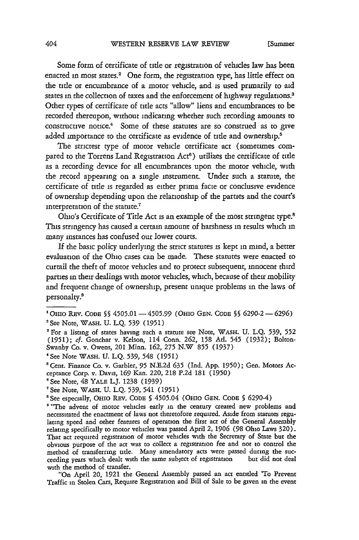Some form of certificate of **title** or registration of vehicles law has been enacted in most states.<sup>2</sup> One form, the registration type, has little effect on the **title** or encumbrance of a motor vehicle, and is used primarily to aid states in the collection of taxes and the enforcement of highway regulations.<sup>3</sup> Other types of certificate of **title** acts "allow" liens and encumbrances to be recorded thereupon, without indicating whether such recording amounts to constructive notice.<sup>4</sup> Some of these statutes are so construed as to give added importance to the certificate as evidence of **title** and ownership.'

The strictest type of motor vehicle certificate act (sometimes compared to the Torrens Land Registration Act<sup>6</sup>) utilizes the certificate of title as a recording device for all encumbrances upon the motor vehicle, with the record appearing on a single instrument. Under such a statute, the certificate of **title** is regarded as either prima facie or conclusive evidence of ownership depending upon the relationship of the parties and the court's interpretation of the statute.'

Ohio's Certificate of **Title** Act is an example of the most stringent type.8 This stringency has caused a certain amount of harshness in results which in many instances has confused our lower courts.

If the basic policy underlying the strict statutes is kept in mind, a better evaluation of the Ohio cases can be made. These statutes were enacted to curtail the theft of motor vehicles and to protect subsequent, innocent third parties in their dealings with motor vehicles, which, because of their mobility and frequent change of ownership, present unique problems in the laws of personalty.'

IOHIO REv. **CODE§ §** 4505.01 **-4505.99** (OHIO **GEN.** CODE **§§** 6290-2-6296) 'See Note, **WASH. U.** L.Q. **539** (1951)

<sup>&#</sup>x27;For a listing of states having such a statute see Note, WASH. U. L.Q. **539, 552** (1951); cf. Gonchar v. Kelson, 114 Conn. **262,** *158* Ad. 545 (1932); Bolton-Swanby Co. v. Owens, 201 Minn. **162, 275** N.W **855** (1937)

<sup>4</sup>See Note WASH. U. L.Q. **539,** 548 (1951)

<sup>&#</sup>x27;Cent. Finance Co. v. Garbler, **95** N.E.2d **635** (Ind. App. 1950); Gen. Motors Acceptance Corp. v. Davis, **169** Kan. 220, 218 P.2d 181 (1950)

<sup>&#</sup>x27;See Note, 48 YALE L.J. 1238 (1939)

<sup>&#</sup>x27;See Note, WASH. U. L.Q. **539,** 541 (1951)

<sup>&#</sup>x27;See especially, OHIO REV. CODE **§** 4505.04 (OHIo GEN. CODE **§** 6290-4)

<sup>&</sup>lt;sup>8</sup> "The advent of motor vehicles early in the century created new problems and necessitated the enactment of laws not theretofore required. Aside from statutes regulating speed and other features of operation the first act of the General Assembly relating specifically to motor vehicles was passed April 2, 1906 (98 Ohio Laws 320). That act required registration of motor vehicles with the Secretary of State but the obvious purpose of the act was to collect a registration fee and not to control the method of transferring title. Many amendatory acts were passed during the suc-<br>ceeding years which dealt with the same subject of registration but did not deal ceeding years which dealt with the same subject of registration with the method of transfer.

<sup>&</sup>quot;On April 20, 1921 the General Assembly passed an act entitled 'To Prevent Traffic in Stolen Cars, Require Registration and Bill of Sale to be given in the event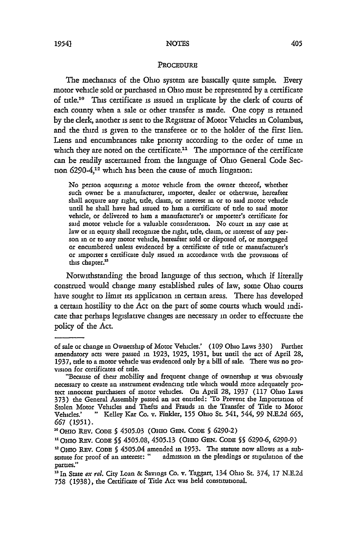#### PROCEDURE

The mechanics of the Ohio system are basically quite simple. Every motor vehicle sold or purchased in Ohio must be represented **by** a certificate of **title.10** This certificate is issued in triplicate **by** the **clerk** of courts of each county when a sale or other transfer is made. One copy is retained **by** the clerk, another is sent to the Registrar of Motor Vehicles in Columbus, and the third is given to the transferee or to the holder of the first lien. Liens and encumbrances take priority according to the order of **time** in which they are noted on the certificate.<sup>11</sup> The importance of the certificate can be readily ascertained from the language of Ohio General Code Section  $6290-4$ <sup>12</sup> which has been the cause of much litigation:

No person acquiring a motor vehicle from the owner thereof, whether such owner be a manufacturer, importer, dealer or otherwise, hereafter shall acquire any right, tide, claim, or interest in or to said motor vehicle until he shall have had issued to him a certificate of title to said motor vehicle, or delivered to him a manufacturer's or importer's certificate for said motor vehicle for a valuable consideration. No court in any case at law or in equity shall recognize the right, title, claim, or interest of any person in or to any motor vehicle, hereafter sold or disposed of, or mortgaged or encumbered unless evidenced by a certificate of tide or manufacturer's or importer s certificate duly issued in accordance with the provisions of this chapter.<sup>13</sup>

Notwithstanding the broad language of this section, which if literally construed would change many established rules of law, some Ohio courts have sought to limit its application in certain areas. There has developed a certain hostility to the Act on the part of some courts which would indicate that perhaps legislative changes are necessary in order to effectuate the policy of the Act.

of sale or change in Ownership of Motor Vehicles.' (109 Ohio Laws 330) Further amendatory acts were passed in **1923, 1925,** 1931, but until the act of April 28, **1937,** tide to a motor vehicle was evidenced only by a bill of sale. There was no provision for certificates of tide.

<sup>&</sup>quot;Because of their mobility and frequent change of ownership **it** was obviously necessary to create an instrument evidencing tide which would more adequately protect innocent purchasers of motor vehicles. On April 28, 1937 (117 Ohio Laws 373) the General Assembly passed an act entitled: 'To Prevent the Importation of Stolen Motor Vehicles and Thefts and Frauds in the Transfer of Tide to Motor Vehicles.' " Kelley Kar Co. v. Finkler, **155** Ohio St. 541, 544, **99** N.E.2d **665, 667** (1951).

**<sup>10</sup>** OIo REv. CoDE **§ 4505.03** (OsIO GEN. **CODE §** 6290-2)

<sup>1</sup>iOHio REv. **CODE §§ 4505.08, 4505.13** (Omo **GEN. CODE §5** 6290-6, **6290-9)**

*u* OHIo R.v. **CODE §** 4505.04 amended in **1953.** The statute now allows as a substitute for proof of an interest: " admission in the pleadings or stipulation of the parties."

**<sup>&</sup>quot;** In State *ex rel.* City Loan **&** Savings **Co.** v. Taggart, 134 Ohio St. 374, 17 N.E.2d 758 (1938), the Certificate of Title Act was held constitutional.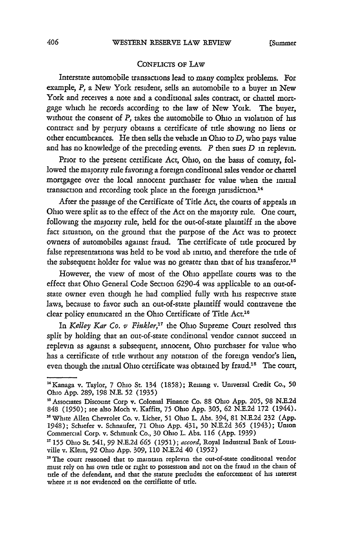[Slimmer

### CONFLICTS OF LAW

Interstate automobile transactions lead to many complex problems. For example, *P,* a New York resident, sells an automobile to a buyer in New York and receives a note and a conditional sales contract, or chattel mortgage which he records according to the law of New Yoik. The buyer, without the consent of *P,* takes the automobile to Ohio in violation of his contract and by perjury obtains a certificate of title showing no liens or other encumbrances. He then sells the vehicle in Ohio to *D,* who pays value and has no knowledge of the preceding events. *P* then sues *D* in replevin.

Prior to the present certificate Act, Ohio, on the basis of comity, followed the majority rule favoring a foreign conditional sales vendor or chattel mortgagee over the local innocent purchaser for value when the initial transaction and recording took place in the foreign jurisdiction.<sup>14</sup>

After the passage of the Certificate of Title Act, the courts of appeals in Ohio were split as to the effect of the Act on the majority rule. One court, following the majority rule, held for the out-of-state plaintiff in the above fact situation, on the ground that the purpose of the Act was to protect owners of automobiles against fraud. The certificate of title procured by false representations was held to be void ab imtio, and therefore the title of the subsequent holder for value was no greater than that of his transferor.<sup>15</sup>

However, the view of most of the Ohio appellate courts was to the effect that Ohio General Code Section 6290-4 was applicable to an out-ofstate owner even though he had complied fully with his respective state laws, because to favor such an out-of-state plaintiff would contravene the clear policy enunicated in the Ohio Certificate of Title Act.<sup>16</sup>

In *Kelley Kar Co. v Finkler*,<sup>17</sup> the Ohio Supreme Court resolved this split by holding that an out-of-state conditional vendor cannot succeed in replevin as against a subsequent, innocent, Ohio purchaser for value who has a certificate of title without any notation of the foreign vendor's lien, even though the initial Ohio certificate was obtained by fraud.<sup>18</sup> The court,

<sup>&</sup>quot;Kanaga v. Taylor, 7 Ohio St. 134 (1858); Reising v. Universal Credit Co., **50** Ohio App. 289, 198 N.E. **52** (1935)

<sup>&#</sup>x27;Associates Discount Corp v. Colonial Finance Co. 88 Ohio App. 205, 98 N.E.2d **848** (1950); see also Moch v. Kaffits, **75** Ohio App. **305, 62** N.E.2d 172 (1944). <sup>16</sup> White Allen Chevrolet Co. v. Licher, 51 Ohio L. Abs. 394, 81 N.E.2d 232 (App. 1948); Schiefer v. Schnaufer, 71 Ohio App. 431, **50** N.E.2d **365** (1943); Union Commercial Corp. v. Schmunk Co., **30** Ohio L. Abs. **116** (App. **1939)**

**<sup>&#</sup>x27;"155** Ohio St. 541, **99** N.E.2d **665** (1951); *accord,* Royal Industrial Bank of Louisville v. Klein, 92 Ohio App. 309, 110 N.E.2d 40 (1952)

<sup>&</sup>lt;sup>18</sup> The court reasoned that to maintain replevin the out-of-state conditional vendor must rely on his own title or right to possession and not on the fraud in the chain of title of the defendant, and that the statute predudes the enforcement of his interest where it is not evidenced on the certificate of title.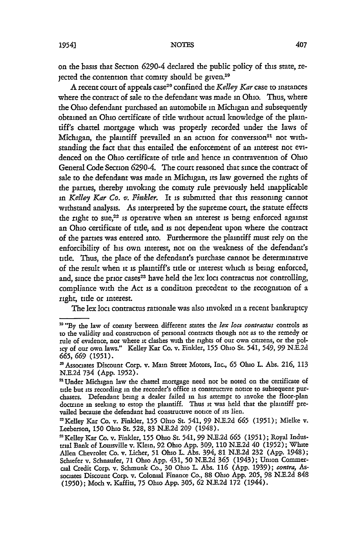on the basis that Section 6290-4 declared the public policy of this state, rejected the contention that comity should be given.<sup>19</sup>

A recent court of appeals case 20 confined the *Kelley Kar* case to instances where the contract of sale to the defendant was made in Ohio. Thus, where the Ohio defendant purchased an automobile in Michigan and subsequently obtained an Ohio certificate of title without actual knowledge of the plaintiff's chattel mortgage which was properly recorded under the laws of Michigan, the plaintiff prevailed in an action for conversion<sup>21</sup> not withstanding the fact that this entailed the enforcement of an interest not evidenced on the Ohio certificate of title and hence in contravention of Ohio General Code Section 6290-4. The court reasoned that since the contract of sale to the defendant was made in Michigan, its law governed the rights of the parties, thereby invoking the comity rule previously held inapplicable *in Kelley Kar Co. v. Finkler.* It is submitted that this reasoning cannot withstand analysis. As interpreted by the supreme court, the statute effects the right to sue,<sup>22</sup> is operative when an interest is being enforced against an Ohio certificate of title, and is not dependent upon where the contract of the parties was entered into. Furthermore the plaintiff must rely on the enforcibiity of his own interest, not on the weakness of the defendant's title. Thus, the place of the defendant's purchase cannot be determinative of the result when it is plaintiff's tide or interest which is being enforced, and, since the prior cases<sup>23</sup> have held the lex loci contractus not controlling, compliance with the Act is a condition precedent to the recognition of a right, title or interest.

The lex loci contractus rationale was also invoked in a recent bankruptcy

<sup>&</sup>lt;sup>19</sup> "By the law of comity between different states the *lex loci contractus* controls as to the validity and construction of personal contracts though not as to the remedy or rule of evidence, nor where it dashes with the rights of our own citizens, or the policy of our own laws." Kelley Kar Co. v. Finkler, **155** Ohio St. 541, 549, **99** N.E.2d **665, 669** (1951).

**<sup>&#</sup>x27;** Associates Discount Corp. v. Main Street Motors, Inc., **65** Ohio *L.* Abs. 216, 113 N.E.2d 734 (App. 1952).

<sup>&</sup>lt;sup>21</sup> Under Michigan law the chattel mortgage need not be noted on the certificate of title but its recording in the recorder's office is constructive notice to subsequent purchasers. Defendant being a dealer failed in his attempt to invoke the floor-plan doctrine in seeking to estop the plaintiff. Thus it was held that the plaintiff prevailed because the defendant had constructive notice of its lien.

<sup>--</sup>Kelley Kar Co. v. Finkler, **155** Ohio St. 541, 99 NXE.2d **665 (1951);** Mielke v. Leeberson, **150** Ohio **St.** 528, 83 N.E.2d **209** (1948).

<sup>&#</sup>x27;Kelley Kar Co. v. Finkler, **155** Ohio St. 541, 99 N.E.2d **665** (1951); Royal Industrial Bank of Louisville v. Klein, 92 Ohio App. 309, **110** N.E.2d 40 (1952); White Allen Chevrolet Co. v. Licher, **51** Ohio L. Abs. 394, **81** N.E.2d 232 (App. 1948); Schiefer v. Schnaufer, **71** Ohio App. 431, **50** N.E.2d **365** (1943); Union Commercal Credit Corp. v. Schmunk Co., 30 Ohio L. Abs. **116** (App. 1939); *contra,* Associates Discount Corp. v. Colonial Finance Co., 88 Ohio App. 205, 98 N.E.2d **848** (1950); Moch v. Kaffits, 75 Ohio App. 305, **62** N.E.2d **172** (1944).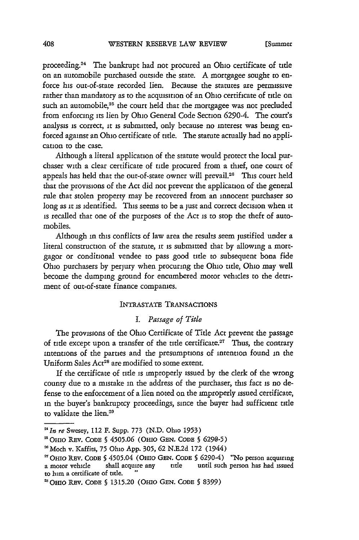proceeding.24 The bankrupt had not procured an Ohio certificate of tide on an automobile purchased outside the state. A mortgagee sought to enforce his out-of-state recorded lien. Because the statutes are permissive rather than mandatory as to the acquisition of an Ohio certificate of tide on such an automobile,<sup>25</sup> the court held that the mortgagee was not precluded from enforcing its lien by Ohio General Code Section 6290-4. The court's analysis is correct, it is submitted, only because no interest was being enforced against an Ohio certificate of title. The statute actually had no application to the case.

Although a literal application of the statute would protect the local purchaser with a clear certificate of tide procured from a thief, one court of appeals has held that the out-of-state owner will prevail.<sup>26</sup> This court held that the provisions of the Act did not prevent the application of the general rule that stolen property may be recovered from an innocent purchaser so long as it is identified. This seems to be a just and correct decision when it is recalled that one of the purposes of the Act is to stop the theft of automobiles.

Although in this conflicts of law area the results seem justified under a literal construction of the statute, it is submitted that by allowing a mortgagor or conditional vendee to pass good tide to subsequent bona fide Ohio purchasers by perjury when procuring the Ohio tide, Ohio may well become the dumping ground for encumbered motor vehicles to the detriment of out-of-state finance companies.

## INTRASTATE TRANSACTIONS

## *I. Passage of Title*

The provisions of the Ohio Certificate of Title Act prevent the passage of title except upon a transfer of the title certificate.<sup>27</sup> Thus, the contrary intentions of the parties and the presumptions of intention found in the Uniform Sales Act<sup>28</sup> are modified to some extent.

If the certificate of tide is improperly issued by the clerk of the wrong county due to a mistake in the address of the purchaser, this fact is no defense to the enforcement of a lien noted on the improperly issued certificate, in the buyer's bankruptcy proceedings, since the buyer had sufficient tide to validate the lien.<sup>29</sup>

*<sup>&#</sup>x27; In re* Swesey, 112 **F.** Supp. **773 (N.D.** Ohio **1953)**

<sup>&#</sup>x27;OHIO REv. **CODE § 4505.06** (OHIO **GEN. CODE § 6290-5)**

**<sup>&#</sup>x27;Moch** v. Kaffits, **75 Ohio App. 305, 62 N.E.2d 172** (1944) <sup>2</sup> <sup>1</sup>

OHIO REV. CODE **5** 4505.04 (OHiO **GEN. CODE** § 6290-4) **"No** person **acquiring a motor** vehide shall **acquire any title** until such person **has had** issued **to** him **a** certificate **of title.** "

<sup>21</sup> OHIO REv. CODE **§ 1315.20 (OIO GEN. CODE § 8399)**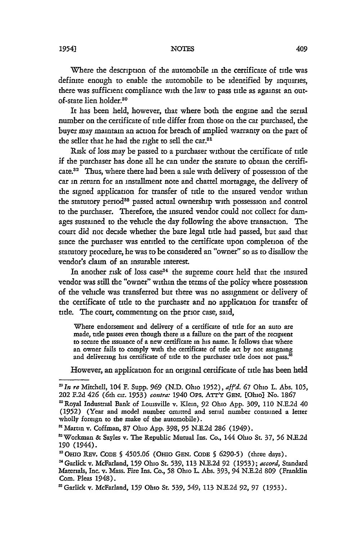Where the description of the automobile in the certificate of **title** was definite enough to enable the automobile to be identified **by** inquiries, there was sufficient compliance with the law to pass **title** as against an outof-state lien holder.30

It has been held, however, that where both the engine and the serial number on the certificate of tile differ from those on the *cat* purchased, the buyer may maintain an action for breach of unplied warranty on the part of the seller that he had the right to sell the **car <sup>1</sup>**

Risk of loss may be passed to a purchaser without the certificate of ttle if the purchaser has done all he can under the statute to obtain the certificate.<sup>32</sup> Thus, where there had been a sale with delivery of possession of the car in return for an installment note and chattel mortagage, the delivery of the signed application for transfer of **title** to the insured vendor within the statutory period<sup>33</sup> passed actual ownership with possession and control to the purchaser. Therefore, the insured vendor could not collect for damages sustained to the vehicle the day following the above transaction. The court did not decide whether the bare legal title had passed, but said that since the purchaser was entitled to the certificate upon completion of the statutory procedure, he was to be considered an "owner" so as to disallow the vendor's claim of an insurable interest.

In another risk of loss case<sup>34</sup> the supreme court held that the insured vendor was still the "owner" within the terms of the policy where possession of the vehicle was transferred but there was no assignment or delivery of the certificate of title to the purchaser and no application for transfer of title. The court, commenting on the prior case, said,

Where endorsement and delivery of a certificate of title for an auto are made, title passes even though there is a failure on the part of the recipient to secure the issuance of a new certificate in his name. It follows that where an owner fails to comply with the certificate of title act by not assigning and delivering his certificate of title to the purchaser title does not pass.<sup>3</sup>

However, an application for an original certificate of title has been held

*<sup>&#</sup>x27;In re* Mitchell, 104 F. Supp. *969* **(N.D.** Ohio 1952), *aff'd.* **67** Ohio L. Abs. 105, 202 F.2d 426 (6th cir. *1953) contra:* 1940 *Ops.* ATr'Y **GEN.** [Ohio) No. 1867

<sup>&#</sup>x27;Royal Industrial Bank of Louisville v. Klein, 92 Ohio App. **309, 110** N.E.2d 40 (1952) (Year and model number omitted and serial number contained a letter wholly foreign to the make of the automobile).

**<sup>&#</sup>x27;** Martin v. Coffman, 87 Ohio App. **398, 95** N.E.2d **286** (1949).

<sup>&#</sup>x27;Workman **&** Sayles v. The Republic Mutual Ins. Co., 144 Ohio St. **37, 56** N.E.2d **190** (1944).

<sup>&#</sup>x27;3OIo REv. CODE § **4505.06** (Omo **GEN.** CODE § 6290-5) (three days).

<sup>&#</sup>x27;Garlickv. McFarland, **159** Ohio St. **539,** 113 N.E.2d **92** (1953); *accord,* Standard Materials, Inc. v. Mass. Fire Ins. Co., 58 Ohio L. Abs. 393, 94 N.E.2d **809** (Franklin Com. Pleas 1948). **'** Garlick v. McFarland, *159* Ohio St. 539, 549, 113 N.E.2d **92,** 97 (1953).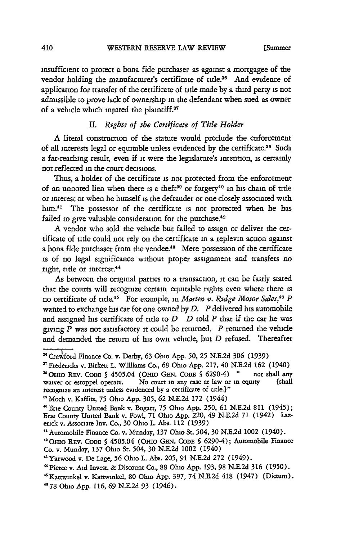insufficient to protect a bona fide purchaser as against a mortgagee of the vendor holding the manufacturer's certificate of title.<sup>36</sup> And evidence of application for transfer of the certificate of title made by a third party is not admissible to prove lack of ownership in the defendant when sued as owner of a vehicle which injured the plaintiff.<sup>37</sup>

## *II. Rtghts of the Certificate of Title Holder*

A literal construction of the statute would preclude the enforcement of all interests legal or equitable unless evidenced by the certificate.<sup>38</sup> Such a far-reaching result, even if it were the legislature's intention, is certainly not reflected in the court decisions.

Thus, a holder of the certificate is not protected from the enforcement of an unnoted lien when there is a theft<sup>39</sup> or forgery<sup>40</sup> in his chain of title or interest or when he himself is the defrauder or one closely associated with him.<sup>41</sup> The possessor of the certificate is not protected when he has failed to give valuable consideration for the purchase.<sup>42</sup>

A vendor who sold the vehicle but failed to assign or deliver the certificate of tilde could not rely on the certificate in a replevin action against a bona fide purchaser from the vendee.<sup>43</sup> Mere possession of the certificate is of no legal significance without proper assignment and transfers no right, title or interest.<sup>44</sup>

As between the original parties to a transaction, it can be fairly stated that the courts will recognize certain equitable rights even where there **is** no certificate of title.45 For example, in *Martin v. Rtdge Motor Sales,46 P* wanted to exchange his car for one owned by *D. P* delivered his automobile and assigned his certificate of tide to *D D* told *P* that if the car he was giving *P* was not satisfactory it could be returned. *P* returned the vehicle and demanded the return of his own vehicle, but *D* refused. Thereafter

**<sup>&#</sup>x27;** Crawford Finance Co. v. Derby, **63** Ohio App. 50, 25 N.E.2d **306** (1939)

**<sup>&#</sup>x27;** Fredericks v. Birkett L. Williams Co., 68 Ohio App. 217, 40 N.E.2d **162** (1940) **:' OHio** REV. CODE **§** 4505.04 (Oino **GEN. CODE §** 6290-4) **"** nor shall any waiver or estoppel operate. No court in any case at law or in equity recognize an interest unless evidenced by a certificate of tile.]"

<sup>&</sup>quot;Moch v. Kaffits, **75** Ohio App. **305, 62** N.E.2d 172 (1944)

<sup>&#</sup>x27;Erie County United Bank v. Bogart, **75** Ohio App. **250, 61** N.E.2d 811 (1945); Erie County United Bank v. Fowl, 71 Ohio App. 220, 49 N.E.2d 71 (1942) Lazerick v. Associate Inv. Co., **30** Ohio L. Abs. 112 (1939)

**<sup>&</sup>quot;** Automobile Finance Co. v. Munday, 137 Ohio St. 504, 30 N.E.2d 1002 (1940).

<sup>&</sup>quot;OHio REv. **CODE** § 4505.04 (OHIo GEN. **CODE §** 6290-4); Automobile Finance Co. v. Munday, 137 Ohio **St.** 504, **30** N.E.2d 1002 (1940)

<sup>&</sup>quot;Yarwood v. De Lage, **56** Ohio L. Abs. **205,** 91 N.E.2d 272 (1949).

<sup>&</sup>quot;Pierce v. Aid Invest. & Discount Co., 88 Ohio App. 193, 98 N.E.2d **316** (1950).

<sup>&</sup>quot;Kattwinkel v. Kattwinkel, 80 Ohio **App.** 397, 74 N.E.2d 418 (1947) (Dictum).

**<sup>&</sup>quot;78** Ohio App. **116, 69** N.E.2d 93 (1946).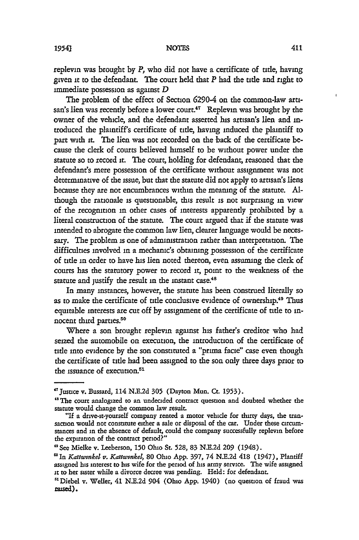replevin was brought by *P,* who did not have **a** certificate of title, having given it to the defendant. The court held that  $P$  had the title and right to immediate possession as against *D*

The problem of the effect of Section 6290-4 on the common-law artisan's lien was recently before a lower court. $47$  Replevin was brought by the owner of the vehicle, and the defendant asserted his artisan's lien and introduced the plaintiff's certificate of title, having induced the plaintiff to part with **it.** The lien was not recorded on the back of the certificate because the clerk of courts believed himself to be without power under the statute so to record it. The court, holding for defendant, reasoned that the defendant's mere possession of the certificate without assignment was not determinative of the issue, but that the statute did not apply to artisan's liens because they are not encumbrances within the meaning of the statute. Although the rationale is questionable, this result is not surprising in view of the recognition in other cases of interests apparently prohibited by a literal construction of the statute. The court argued that if the statute was intended to abrogate the common law lien, dearer language would be necessary. The problem is one of administration rather than interpretation. The difficulties involved in a mechanic's obtaining possession of the certificate of title in order to have **Ins** lien noted thereon, even assuming the clerk of courts has the statutory power to record it, point to the weakness of the statute and justify the result in the instant case.<sup>48</sup>

In many instances, however, the statute has been construed literally so as to make the certificate of title conclusive evidence of ownership.49 Thus equitable interests are cut off by assignment of the certificate of tide to innocent third parties.<sup>50</sup>

Where a son brought replevin against his father's creditor who had seized the automobile on execution, the introduction of the certificate of title into evidence by the son constituted a "prima facie" case even though the certificate of title had been assigned to the son only three days prior to the issuance of execution.<sup>51</sup>

411

<sup>&#</sup>x27;Justice v. Bussard, 114 N.E.2d **305** (Dayton Mun. Ct. 1953).

<sup>&</sup>lt;sup>48</sup> The court analogized to an undecided contract question and doubted whether the statute would change the common law result.

<sup>&</sup>quot;If a drive-it-yourself company rented a motor vehide for thirty days, the transaction would not constitute either a sale or disposal of the car. Under these circumstances and in the absence of default, could the company successfully replevin before the expiration of the contract period?"

**<sup>&</sup>quot;** See Mielke v. Leeberson, **150** Olo St. 528, 83 N.E.2d **209** (1948).

**<sup>&#</sup>x27;** In *Kattwrnkel v. Katttwnkel,* **80** Ohio App. 397, 74 N.E.2d 418 (1947), Plantiff assigned his interest to his wife for the period of his army service. The wife assigned it to her sister while a divorce decree was pending. Held: for defendant.

**<sup>&</sup>quot;** Diebel v. Weller, 41 N.E.2d 904 (Ohio App. 1940) (no question of fraud was nased).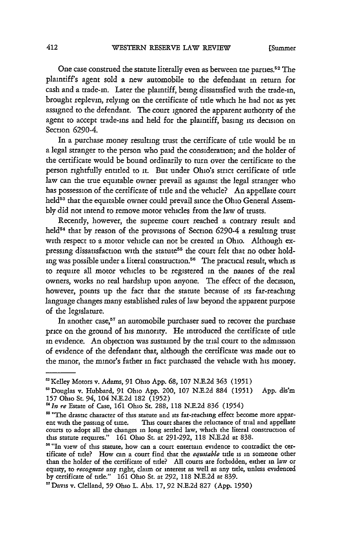One case construed the statute literally even as between **me** parties.<sup>5</sup> 2 The plaintiff's agent sold a new automobile to the defendant in return for cash and a trade-in. Later the plaintiff, being dissatisfied with the trade-in, brought replevin, relying on the certificate of tide which he had not as yet assigned to the defendant. The court ignored the apparent authority of the agent to accept trade-ins and held for the plaintiff, basing its decision on Section 6290-4.

In a purchase money resulting trust the certificate of **title** would be in a legal stranger to the person who paid the consideration; and the holder of the certificate would be bound ordinarily to turn over the certificate to the person rightfully entitled to **it.** But under Ohio's strict certificate of **tide** law can the true equitable owner prevail as against the legal stranger who has possession of the certificate of title and the vehicle? An appellate court held<sup>53</sup> that the equitable owner could prevail since the Ohio General Assem**bly** did not intend to remove motor vehicles from the law of trusts.

Recently, however, the supreme court reached a contrary result and held5 4 that **by** reason of the provisions of Section 6290-4 a resulting trust with respect to a motor vehicle can not be created in Ohio. Although expressing dissatisfaction with the statute<sup>55</sup> the court felt that no other holding was possible under a literal construction.<sup>56</sup> The practical result, which is to require all motor vehicles to be registered in the names of the real owners, works no real hardship upon anyone. The effect of the decision, however, points up the fact that the statute because of its far-reaching language changes many established rules of law beyond the apparent purpose of the legislature.

In another case,<sup>57</sup> an automobile purchaser sued to recover the purchase price on the ground of his minority. He introduced the certificate of **tide** in evidence. An objection was sustained **by** the trial court to the admission of evidence of the defendant that, although the certificate was made out to the minor, the minor's father in fact purchased the vehicle with his money.

<sup>&#</sup>x27;Kelley Motors v. Adams, **91** Ohio **App. 68, 107 N.E.2d 363 (1951)**

<sup>&#</sup>x27;Douglas v. Hubbard, **91** Ohio **App.** 200, **107 N.E.2d 884 (1951) App. dis'm 157** Ohio St. 94, 104 **N.E.2d 182 (1952)**

*<sup>&#</sup>x27;In re* Estate of Case, **161** Ohio **St. 288, 118 N.E.2d 836** (1954)

<sup>&</sup>lt;sup>55</sup> "The drastic character of this statute and its far-reaching effect become more apparent with the passing of time. This court shares the reluctance of trial and appellate courts to adopt all the changes in long settled law, which the literal construction of this statute requires." **161** Ohio **St.** at **291-292, 118 N.E.2d** at **838.**

<sup>&</sup>lt;sup>56</sup> "In view of this statute, how can a court entertain evidence to contradict the certificate of tide? How can a court find that the *equtable* tile is in someone other than the holder of the certificate of title? **All** courts are forbidden, either in law or equity, to *recognize* any right, **claim** or interest as well as any title, unless evidenced **by** certificate of tide." **161** Ohio **St.** at **292, 118 N.E.2d** at **839.**

<sup>&</sup>quot;Davis v. Clelland, **59** Ohio L. Abs. **17, 92 N.E.2d 827 (App. 1950)**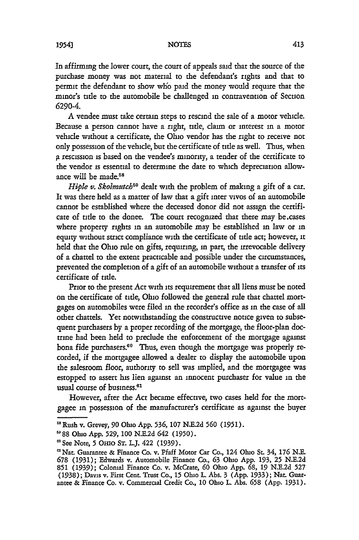In affirming the lower court, the court of appeals said that the source of the purchase money was not material to the defendant's rights and that to permit the defendant to show who paid the money would require that the minor's title to the automobile be challenged in contravention of Section 6290-4.

A vendee must take certain steps to rescind the sale of a motor vehicle. Because a person cannot have a right, title, claim or interest in a motor vehicle without a certificate, the Ohio vendor has the right to receive not only possession of the vehicle, but the certificate of tite as well. Thus, when g rescission is based on the vendee's minority, a tender of the certificate to the vendor is essential to determine the date to which depreciation allowance will be made.<sup>58</sup>

*Hiple v. Skolmutch*<sup>59</sup> dealt with the problem of making a gift of a car. It was there held as a matter of law that a gift inter vivos of an automobile cannot be established where the deceased donor did not assign the certificate of title to the donee. The court recognized that there may be cases where property rights in an automobile may be established in law or in equity without strict compliance with the certificate of title act; however, **it** held that the Ohio rule on gifts, requiring, in part, the irrevocable delivery of a chattel to the extent practicable and possible under the circumstances, prevented the completion of a gift of an automobile without a transfer of its certificate of title.

Prior to the present Act with its requirement that all liens must be noted on the certificate of title, Ohio followed the general rule that chattel mortgages on automobiles were filed in the recorder's office as in the case of all other chattels. Yet notwithstanding the constructive notice given to subsequent purchasers by a proper recording of the mortgage, the floor-plan doctrine had been held to preclude the enforcement of the mortgage against bona fide purchasers.<sup>60</sup> Thus, even though the mortgage was properly recorded, if the mortgagee allowed a dealer to display the automobile upon the salesroom floor, authority to sell was implied, and the mortgagee was estopped to assert his lien against an innocent purchaser for value in the usual course of business.<sup>61</sup>

However, after the Act became effective, two cases held for the mortgagee in possession of the manufacturer's certificate as against the buyer

<sup>&</sup>quot;Rush v. Grevey, 90 Ohio App. 536, **107** N.E.2d **560** (1951).

<sup>88</sup> Ohio App. **529, 100** N.E.2d 642 (1950).

<sup>€</sup>See Note, 5 **Oto ST.** L.J. 422 (1939).

<sup>&#</sup>x27;Nat Guarantee **&** Finance Co. v. Pfaff Motor Car Co., 124 Ohio St. 34, **176** N.E. **678** (1931); Edwards v. Automobile Finance Co., **63** Ohio App. 193, **25** N.E.2d **851 (1939);** Colonial Finance Co. v. McCrate, **60** Ohio App. **68,** 19 N.E.2d **527** (1938); Davis v. First Cent. Trust Co., **15** Ohio L. Abs. 3 (App. 1933); Nat. Guarantee & Finance Co. v. Commercial Credit Co., 10 Ohio L. Abs. **658** (App. 1931).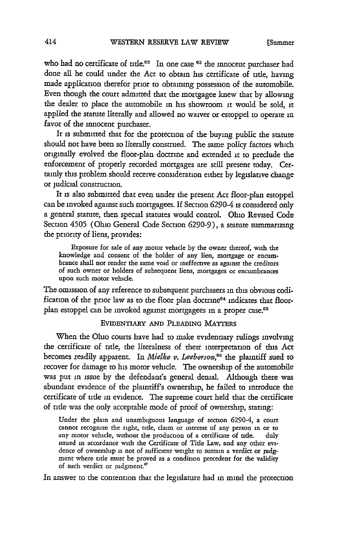who had no certificate of title.<sup>62</sup> In one case <sup>63</sup> the innocent purchaser had done all he could under the Act to obtain his certificate of tide, having made application therefor prior to obtaining possession of the automobile. Even though the court admitted that the mortgagee knew that by allowing the dealer to place the automobile in his showroom it would be sold, it applied the statute literally and allowed no waiver or estoppel to operate in favor of the innocent purchaser.

It is submitted that for the protection of the buying public the statute should not have been so literally construed. The same policy factors which originally evolved the floor-plan doctrine and extended it to preclude the enforcement of properly recorded mortgages are still present today. Certainly this problem should receive consideration either by legislative change or judicial construction.

It is also submitted that even under the present Act floor-plan estoppel can be invoked against such mortgagees. If Section 6290-4 is considered only a general statute, then special statutes would control. Ohio Revised Code Section 4505 (Ohio General Code Section 6290-9), a statute summarizing the priority of liens, provides:

Exposure for sale of any motor vehicle by the owner thereof, with the knowledge and consent of the holder of any lien, mortgage or encumbrance shall not render the same void or ineffective as against the creditors of such owner or holders of subsequent liens, mortgages or encumbrances upon such motor vehicle.

The omission of any reference to subsequent purchasers in this obvious codification of the prior law as to the floor plan doctrine<sup>64</sup> indicates that floorplan estoppel can be invoked against mortgagees in a proper case.<sup>65</sup>

#### EVIDENTIARY **AND PLEADING MAT'ERS**

When the Ohio courts have had to make evidentiary rulings involving the certificate of title, the literalness of their interpretation of this Act becomes readily apparent. In *Mielke v. Leeberson*,<sup>66</sup> the plaintiff sued to recover for damage to his motor vehicle. The ownership of the automobile was put in issue by the defendant's general denial. Although there was abundant evidence of the plaintiff's ownership, he failed to introduce the certificate of tide in evidence. The supreme court held that the certificate of tide was the only acceptable mode of proof of ownership, stating:

Under the plain and unambiguous language of section 6290-4, a court cannot recognize the right, tite, claim or interest of any person in or to any motor vehicle, without the production of a certificate of title. duly issued in accordance with the Certificate of Tide Law, and any other evidence of ownership is not of sufficient weight to sustain a verdict or judgment where tide must be proved as a condition precedent for the validity of such verdict or judgment.'

In answer to the contention that the legislature had in mind the protection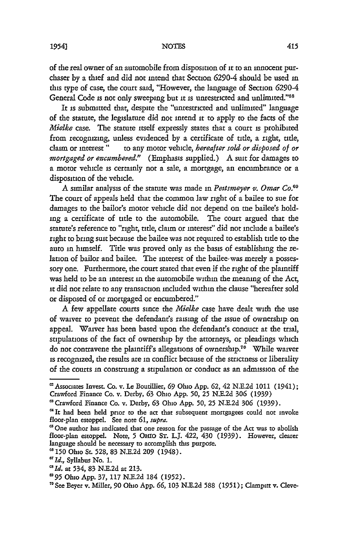of the real owner of an automobile from disposition of **it** to an innocent purchaser by a thief and did not intend that Section 6290-4 should be used in this type of case, the court said, "However, the language of Section 6290-4 General Code is not only sweeping but it is unrestricted and unlimited."<sup>68</sup>

It is submitted that, despite the "unrestricted and unlimited" language of the statute, the legislature did not intend it to apply to the facts of the *Mialke* case. The statute itself expressly states that a court is prohibited from recognizing, unless evidenced by a certificate of title, a right, tide, **daum** or interest" to any motor vehicle, *hereafter sold or disposed of or mortgaged or encumbered.*" (Emphasis supplied.) A suit for damages to a motor vehicle is certainly not a sale, a mortgage, an encumbrance or a disposition of the vehicle.

A similar analysis of the statute was made in *Petsmeyer v. Omar Co.69* The court of appeals held that the common law right of a bailee to sue for damages to the bailor's motor vehide did not depend on tie bailee's holding a certificate of title to the automobile. The court argued that the statute's reference to "right, title, claim or interest" did not include a bailee's right to bring suit because the bailee was not required to establish title to the auto in himself. Title was proved only as the basis of establishing the relation of bailor and bailee. The interest of the bailee-was merely a possessory one. Furthermore, the court stated that even if the right of the plaintiff was held to be an interest in the automobile within the meaning of the Act, it did not relate to any transaction included within the clause "hereafter sold or disposed of or mortgaged or encumbered."

A few appellate courts since the *Mielke* case have dealt with the use of waiver to prevent the defendant's raising of the issue of ownership on appeal. Waiver has been based upon the defendant's conauct at the trial, stipulations of the fact of ownership by the attorneys, or pleadings which do not contravene the plaintiffs allegations of ownership."0 While waiver is recognized, the results are in conflict because of the strictness or liberality of the courts in construing a stipulation or conduct as an admission of the

<sup>&#</sup>x27;Associates Invest. Co. v. Le Boutillier, **69** Ohio App. **62,** 42 N.E.2d 1011 (1941); Crawford Finance Co. v. Derby, **63** Ohio App. **50, 25** N.E.2d **306 (1939)**

<sup>&#</sup>x27;Crawford Finance Co. v. Derby, **63** Ohio App. **50, 25** N.E.2d **306** (1939).

<sup>&</sup>lt;sup>64</sup> It had been held prior to the act that subsequent mortgagees could not invoke floor-plan estoppel. See note *61, supra.*

**<sup>&#</sup>x27;** One author has indicated that one reason for the passage of the Act was to abolish floor-plan estoppel. Note, 5 OHIO ST. L.J. 422, 430 (1939). However, clearer language should be necessary to accomplish this purpose.

**<sup>&#</sup>x27; 150** Ohio St. 528, 83 N.E.2d **209** (1948).

*Id.,* Syllabus No. 1.

*Id.* at 534, 83 N.E.2d at 213.

<sup>95</sup> Ohio **App.** 37, 117 N.E.2d 184 (1952). T0

See Beyer v. Miller, **90** Ohio App. *66,* 103 N.E.2d 588 (1951); Clampitt v. Cleve-